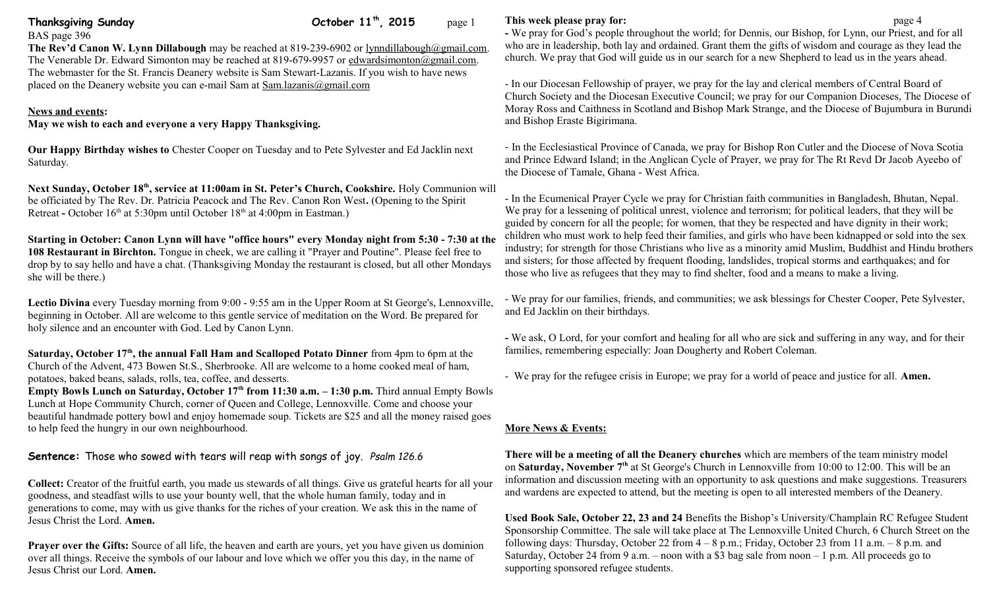Thanksgiving Sunday **CHO CHO CHO 2015** page 1

BAS page 396 **The Rev'd Canon W. Lynn Dillabough** may be reached at 819-239-6902 or [lynndillabough@gmail.com.](mailto:lynndillabough@gmail.com) The Venerable Dr. Edward Simonton may be reached at 819-679-9957 or [edwardsimonton@gmail.com.](mailto:edwardsimonton@gmail.com) The webmaster for the St. Francis Deanery website is Sam Stewart-Lazanis. If you wish to have news placed on the Deanery website you can e-mail Sam at [Sam.lazanis@gmail.com](mailto:Sam.lazanis@gmail.com)

### **News and events:**

**May we wish to each and everyone a very Happy Thanksgiving.**

**Our Happy Birthday wishes to** Chester Cooper on Tuesday and to Pete Sylvester and Ed Jacklin next Saturday.

**Next Sunday, October 18th, service at 11:00am in St. Peter's Church, Cookshire.** Holy Communion will be officiated by The Rev. Dr. Patricia Peacock and The Rev. Canon Ron West**.** (Opening to the Spirit Retreat - October 16<sup>th</sup> at 5:30pm until October 18<sup>th</sup> at 4:00pm in Eastman.)

**Starting in October: Canon Lynn will have "office hours" every Monday night from 5:30 - 7:30 at the 108 Restaurant in Birchton.** Tongue in cheek, we are calling it "Prayer and Poutine". Please feel free to drop by to say hello and have a chat. (Thanksgiving Monday the restaurant is closed, but all other Mondays she will be there.)

**Lectio Divina** every Tuesday morning from 9:00 - 9:55 am in the Upper Room at St George's, Lennoxville, beginning in October. All are welcome to this gentle service of meditation on the Word. Be prepared for holy silence and an encounter with God. Led by Canon Lynn.

**Saturday, October 17th, the annual Fall Ham and Scalloped Potato Dinner** from 4pm to 6pm at the Church of the Advent, 473 Bowen St.S., Sherbrooke. All are welcome to a home cooked meal of ham, potatoes, baked beans, salads, rolls, tea, coffee, and desserts.

**Empty Bowls Lunch on Saturday, October 17th from 11:30 a.m. – 1:30 p.m.** Third annual Empty Bowls Lunch at Hope Community Church, corner of Queen and College, Lennoxville. Come and choose your beautiful handmade pottery bowl and enjoy homemade soup. Tickets are \$25 and all the money raised goes to help feed the hungry in our own neighbourhood.

# **Sentence:** Those who sowed with tears will reap with songs of joy. *Psalm 126.6*

**Collect:** Creator of the fruitful earth, you made us stewards of all things. Give us grateful hearts for all your goodness, and steadfast wills to use your bounty well, that the whole human family, today and in generations to come, may with us give thanks for the riches of your creation. We ask this in the name of Jesus Christ the Lord. **Amen.**

Prayer over the Gifts: Source of all life, the heaven and earth are yours, yet you have given us dominion over all things. Receive the symbols of our labour and love which we offer you this day, in the name of Jesus Christ our Lord. **Amen.**

# **This week please pray for: page 4**

**-** We pray for God's people throughout the world; for Dennis, our Bishop, for Lynn, our Priest, and for all who are in leadership, both lay and ordained. Grant them the gifts of wisdom and courage as they lead the church. We pray that God will guide us in our search for a new Shepherd to lead us in the years ahead.

- In our Diocesan Fellowship of prayer, we pray for the lay and clerical members of Central Board of Church Society and the Diocesan Executive Council; we pray for our Companion Dioceses, The Diocese of Moray Ross and Caithness in Scotland and Bishop Mark Strange, and the Diocese of Bujumbura in Burundi and Bishop Eraste Bigirimana.

- In the Ecclesiastical Province of Canada, we pray for Bishop Ron Cutler and the Diocese of Nova Scotia and Prince Edward Island; in the Anglican Cycle of Prayer, we pray for The Rt Revd Dr Jacob Ayeebo of the Diocese of Tamale, Ghana - West Africa.

- In the Ecumenical Prayer Cycle we pray for Christian faith communities in Bangladesh, Bhutan, Nepal. We pray for a lessening of political unrest, violence and terrorism; for political leaders, that they will be guided by concern for all the people; for women, that they be respected and have dignity in their work; children who must work to help feed their families, and girls who have been kidnapped or sold into the sex industry; for strength for those Christians who live as a minority amid Muslim, Buddhist and Hindu brothers and sisters; for those affected by frequent flooding, landslides, tropical storms and earthquakes; and for those who live as refugees that they may to find shelter, food and a means to make a living.

- We pray for our families, friends, and communities; we ask blessings for Chester Cooper, Pete Sylvester, and Ed Jacklin on their birthdays.

**-** We ask, O Lord, for your comfort and healing for all who are sick and suffering in any way, and for their families, remembering especially: Joan Dougherty and Robert Coleman.

- We pray for the refugee crisis in Europe; we pray for a world of peace and justice for all. **Amen.**

# **More News & Events:**

**There will be a meeting of all the Deanery churches** which are members of the team ministry model on **Saturday, November 7th** at St George's Church in Lennoxville from 10:00 to 12:00. This will be an information and discussion meeting with an opportunity to ask questions and make suggestions. Treasurers and wardens are expected to attend, but the meeting is open to all interested members of the Deanery.

**Used Book Sale, October 22, 23 and 24** Benefits the Bishop's University/Champlain RC Refugee Student Sponsorship Committee. The sale will take place at The Lennoxville United Church, 6 Church Street on the following days: Thursday, October 22 from  $4 - 8$  p.m.; Friday, October 23 from 11 a.m.  $- 8$  p.m. and Saturday, October 24 from 9 a.m. – noon with a  $\hat{S}$  bag sale from noon – 1 p.m. All proceeds go to supporting sponsored refugee students.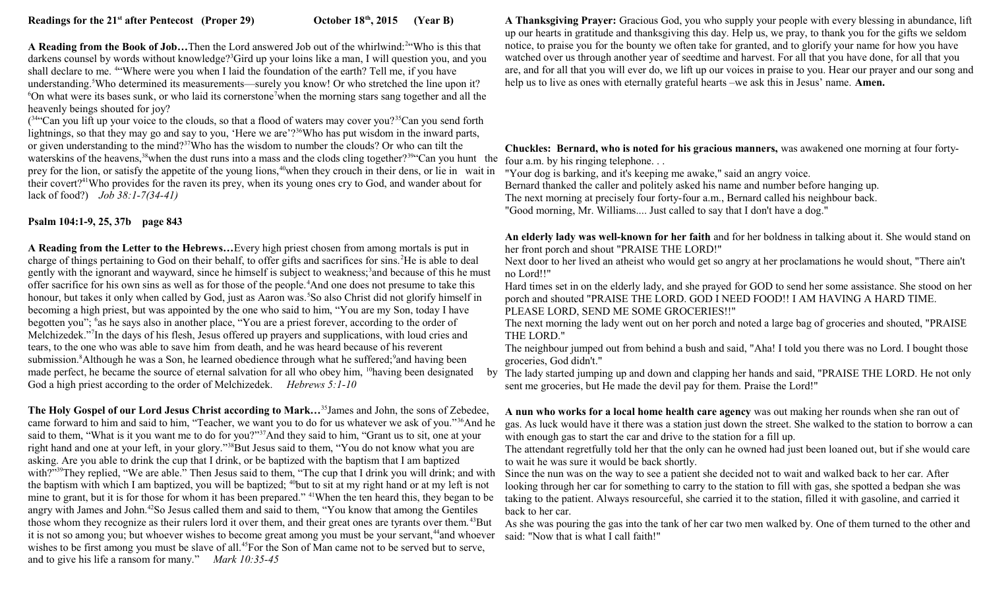A Reading from the Book of Job... Then the Lord answered Job out of the whirlwind:<sup>2"</sup>Who is this that darkens counsel by words without knowledge?<sup>3</sup>Gird up your loins like a man, I will question you, and you shall declare to me. <sup>4"</sup>Where were you when I laid the foundation of the earth? Tell me, if you have understanding.<sup>5</sup>Who determined its measurements—surely you know! Or who stretched the line upon it?  $6$ On what were its bases sunk, or who laid its cornerstone<sup>7</sup>when the morning stars sang together and all the heavenly beings shouted for joy?

 $(34\degree$ Can you lift up your voice to the clouds, so that a flood of waters may cover you?<sup>35</sup>Can you send forth lightnings, so that they may go and say to you, 'Here we are'?<sup>36</sup>Who has put wisdom in the inward parts, or given understanding to the mind?<sup>37</sup>Who has the wisdom to number the clouds? Or who can tilt the waterskins of the heavens,<sup>38</sup>when the dust runs into a mass and the clods cling together?<sup>39</sup> Can you hunt the four a.m. by his ringing telephone... prey for the lion, or satisfy the appetite of the young lions,<sup>40</sup>when they crouch in their dens, or lie in wait in their covert?<sup>41</sup>Who provides for the raven its prey, when its young ones cry to God, and wander about for lack of food?) *Job 38:1-7(34-41)*

# **Psalm 104:1-9, 25, 37b page 843**

**A Reading from the Letter to the Hebrews…**Every high priest chosen from among mortals is put in charge of things pertaining to God on their behalf, to offer gifts and sacrifices for sins.<sup>2</sup>He is able to deal gently with the ignorant and wayward, since he himself is subject to weakness;<sup>3</sup> and because of this he must offer sacrifice for his own sins as well as for those of the people.<sup>4</sup>And one does not presume to take this honour, but takes it only when called by God, just as Aaron was.<sup>5</sup>So also Christ did not glorify himself in becoming a high priest, but was appointed by the one who said to him, "You are my Son, today I have begotten you"; <sup>6</sup> as he says also in another place, "You are a priest forever, according to the order of Melchizedek."<sup>7</sup> In the days of his flesh, Jesus offered up prayers and supplications, with loud cries and tears, to the one who was able to save him from death, and he was heard because of his reverent submission.<sup>8</sup> Although he was a Son, he learned obedience through what he suffered;<sup>9</sup> and having been made perfect, he became the source of eternal salvation for all who obey him, <sup>10</sup>having been designated God a high priest according to the order of Melchizedek. *Hebrews 5:1-10*

**The Holy Gospel of our Lord Jesus Christ according to Mark…**<sup>35</sup>James and John, the sons of Zebedee, came forward to him and said to him, "Teacher, we want you to do for us whatever we ask of you."<sup>36</sup>And he said to them, "What is it you want me to do for you?"<sup>37</sup>And they said to him, "Grant us to sit, one at your right hand and one at your left, in your glory."<sup>38</sup>But Jesus said to them, "You do not know what you are asking. Are you able to drink the cup that I drink, or be baptized with the baptism that I am baptized with?"<sup>39</sup>They replied, "We are able." Then Jesus said to them, "The cup that I drink you will drink; and with the baptism with which I am baptized, you will be baptized; <sup>40</sup>but to sit at my right hand or at my left is not mine to grant, but it is for those for whom it has been prepared." <sup>41</sup>When the ten heard this, they began to be angry with James and John.<sup>42</sup>So Jesus called them and said to them, "You know that among the Gentiles those whom they recognize as their rulers lord it over them, and their great ones are tyrants over them. <sup>43</sup>But it is not so among you; but whoever wishes to become great among you must be your servant,<sup>44</sup>and whoever wishes to be first among you must be slave of all.<sup>45</sup>For the Son of Man came not to be served but to serve, and to give his life a ransom for many." *Mark 10:35-45* 

**A Thanksgiving Prayer:** Gracious God, you who supply your people with every blessing in abundance, lift up our hearts in gratitude and thanksgiving this day. Help us, we pray, to thank you for the gifts we seldom notice, to praise you for the bounty we often take for granted, and to glorify your name for how you have watched over us through another year of seedtime and harvest. For all that you have done, for all that you are, and for all that you will ever do, we lift up our voices in praise to you. Hear our prayer and our song and help us to live as ones with eternally grateful hearts –we ask this in Jesus' name. **Amen.** 

# **Chuckles: Bernard, who is noted for his gracious manners,** was awakened one morning at four forty-

"Your dog is barking, and it's keeping me awake," said an angry voice.

Bernard thanked the caller and politely asked his name and number before hanging up.

The next morning at precisely four forty-four a.m., Bernard called his neighbour back.

"Good morning, Mr. Williams.... Just called to say that I don't have a dog."

**An elderly lady was well-known for her faith** and for her boldness in talking about it. She would stand on her front porch and shout "PRAISE THE LORD!"

Next door to her lived an atheist who would get so angry at her proclamations he would shout, "There ain't no Lord!!"

Hard times set in on the elderly lady, and she prayed for GOD to send her some assistance. She stood on her porch and shouted "PRAISE THE LORD. GOD I NEED FOOD!! I AM HAVING A HARD TIME. PLEASE LORD, SEND ME SOME GROCERIES!!"

The next morning the lady went out on her porch and noted a large bag of groceries and shouted, "PRAISE THE LORD."

The neighbour jumped out from behind a bush and said, "Aha! I told you there was no Lord. I bought those groceries, God didn't."

The lady started jumping up and down and clapping her hands and said, "PRAISE THE LORD. He not only sent me groceries, but He made the devil pay for them. Praise the Lord!"

**A nun who works for a local home health care agency** was out making her rounds when she ran out of gas. As luck would have it there was a station just down the street. She walked to the station to borrow a can with enough gas to start the car and drive to the station for a fill up.

The attendant regretfully told her that the only can he owned had just been loaned out, but if she would care to wait he was sure it would be back shortly.

Since the nun was on the way to see a patient she decided not to wait and walked back to her car. After looking through her car for something to carry to the station to fill with gas, she spotted a bedpan she was taking to the patient. Always resourceful, she carried it to the station, filled it with gasoline, and carried it back to her car.

As she was pouring the gas into the tank of her car two men walked by. One of them turned to the other and said: "Now that is what I call faith!"